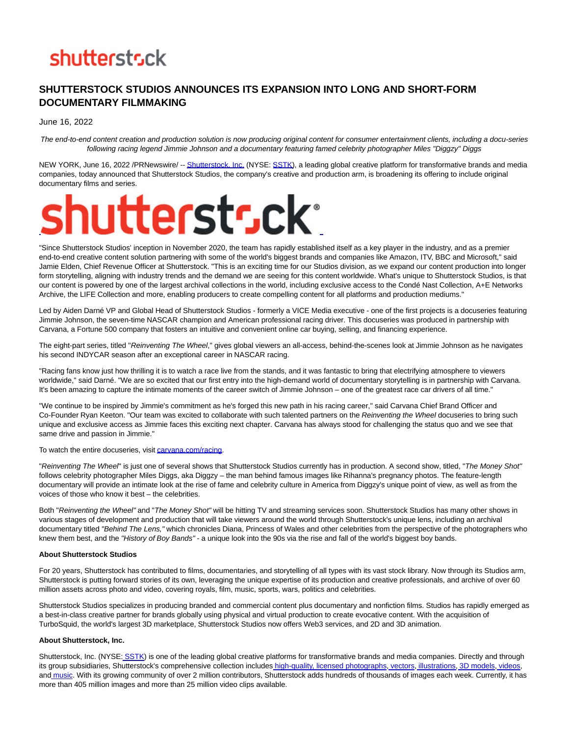## **shutterstsck**

### **SHUTTERSTOCK STUDIOS ANNOUNCES ITS EXPANSION INTO LONG AND SHORT-FORM DOCUMENTARY FILMMAKING**

June 16, 2022

The end-to-end content creation and production solution is now producing original content for consumer entertainment clients, including a docu-series following racing legend Jimmie Johnson and a documentary featuring famed celebrity photographer Miles "Diggzy" Diggs

NEW YORK, June 16, 2022 /PRNewswire/ -[- Shutterstock, Inc. \(](https://c212.net/c/link/?t=0&l=en&o=3569071-1&h=2612693741&u=https%3A%2F%2Fwww.shutterstock.com%2F&a=Shutterstock%2C+Inc.)NYSE: [SSTK\),](https://c212.net/c/link/?t=0&l=en&o=3569071-1&h=2102398044&u=https%3A%2F%2Fstudio-5.financialcontent.com%2Fprnews%3FPage%3DQuote%26Ticker%3DSSTK&a=SSTK) a leading global creative platform for transformative brands and media companies, today announced that Shutterstock Studios, the company's creative and production arm, is broadening its offering to include original documentary films and series.

# hutterstsck

"Since Shutterstock Studios' inception in November 2020, the team has rapidly established itself as a key player in the industry, and as a premier end-to-end creative content solution partnering with some of the world's biggest brands and companies like Amazon, ITV, BBC and Microsoft," said Jamie Elden, Chief Revenue Officer at Shutterstock. "This is an exciting time for our Studios division, as we expand our content production into longer form storytelling, aligning with industry trends and the demand we are seeing for this content worldwide. What's unique to Shutterstock Studios, is that our content is powered by one of the largest archival collections in the world, including exclusive access to the Condé Nast Collection, A+E Networks Archive, the LIFE Collection and more, enabling producers to create compelling content for all platforms and production mediums."

Led by Aiden Darné VP and Global Head of Shutterstock Studios - formerly a VICE Media executive - one of the first projects is a docuseries featuring Jimmie Johnson, the seven-time NASCAR champion and American professional racing driver. This docuseries was produced in partnership with Carvana, a Fortune 500 company that fosters an intuitive and convenient online car buying, selling, and financing experience.

The eight-part series, titled "Reinventing The Wheel," gives global viewers an all-access, behind-the-scenes look at Jimmie Johnson as he navigates his second INDYCAR season after an exceptional career in NASCAR racing.

"Racing fans know just how thrilling it is to watch a race live from the stands, and it was fantastic to bring that electrifying atmosphere to viewers worldwide," said Darné. "We are so excited that our first entry into the high-demand world of documentary storytelling is in partnership with Carvana. It's been amazing to capture the intimate moments of the career switch of Jimmie Johnson – one of the greatest race car drivers of all time."

"We continue to be inspired by Jimmie's commitment as he's forged this new path in his racing career," said Carvana Chief Brand Officer and Co-Founder Ryan Keeton. "Our team was excited to collaborate with such talented partners on the Reinventing the Wheel docuseries to bring such unique and exclusive access as Jimmie faces this exciting next chapter. Carvana has always stood for challenging the status quo and we see that same drive and passion in Jimmie."

To watch the entire docuseries, visi[t carvana.com/racing.](https://c212.net/c/link/?t=0&l=en&o=3569071-1&h=3856000787&u=https%3A%2F%2Fwww.carvana.com%2Fracing&a=carvana.com%2Fracing)

"Reinventing The Wheel' is just one of several shows that Shutterstock Studios currently has in production. A second show, titled, "The Money Shot" follows celebrity photographer Miles Diggs, aka Diggzy – the man behind famous images like Rihanna's pregnancy photos. The feature-length documentary will provide an intimate look at the rise of fame and celebrity culture in America from Diggzy's unique point of view, as well as from the voices of those who know it best – the celebrities.

Both "Reinventing the Wheel" and "The Money Shot" will be hitting TV and streaming services soon. Shutterstock Studios has many other shows in various stages of development and production that will take viewers around the world through Shutterstock's unique lens, including an archival documentary titled "Behind The Lens," which chronicles Diana, Princess of Wales and other celebrities from the perspective of the photographers who knew them best, and the "History of Boy Bands" - a unique look into the 90s via the rise and fall of the world's biggest boy bands.

### **About Shutterstock Studios**

For 20 years, Shutterstock has contributed to films, documentaries, and storytelling of all types with its vast stock library. Now through its Studios arm, Shutterstock is putting forward stories of its own, leveraging the unique expertise of its production and creative professionals, and archive of over 60 million assets across photo and video, covering royals, film, music, sports, wars, politics and celebrities.

Shutterstock Studios specializes in producing branded and commercial content plus documentary and nonfiction films. Studios has rapidly emerged as a best-in-class creative partner for brands globally using physical and virtual production to create evocative content. With the acquisition of TurboSquid, the world's largest 3D marketplace, Shutterstock Studios now offers Web3 services, and 2D and 3D animation.

### **About Shutterstock, Inc.**

Shutterstock, Inc. (NYSE: [SSTK\)](https://c212.net/c/link/?t=0&l=en&o=3569071-1&h=2102398044&u=https%3A%2F%2Fstudio-5.financialcontent.com%2Fprnews%3FPage%3DQuote%26Ticker%3DSSTK&a=SSTK) is one of the leading global creative platforms for transformative brands and media companies. Directly and through its group subsidiaries, Shutterstock's comprehensive collection includes [high-quality, licensed photographs,](https://c212.net/c/link/?t=0&l=en&o=3569071-1&h=2831983934&u=https%3A%2F%2Fwww.shutterstock.com%2F&a=high-quality%2C+licensed+photographs) [vectors,](https://c212.net/c/link/?t=0&l=en&o=3569071-1&h=1483835807&u=https%3A%2F%2Fwww.shutterstock.com%2Fvectors&a=vectors) [i](https://c212.net/c/link/?t=0&l=en&o=3569071-1&h=411100428&u=https%3A%2F%2Fwww.shutterstock.com%2Fcategory%2Fillustrations-clip-art&a=%C2%A0)[llustrations,](https://c212.net/c/link/?t=0&l=en&o=3569071-1&h=1579081900&u=https%3A%2F%2Fwww.shutterstock.com%2Fcategory%2Fillustrations-clip-art&a=illustrations) [3D models,](https://c212.net/c/link/?t=0&l=en&o=3569071-1&h=2042866988&u=https%3A%2F%2Fwww.turbosquid.com%2F&a=3D+models) [videos,](https://c212.net/c/link/?t=0&l=en&o=3569071-1&h=2286205461&u=https%3A%2F%2Fwww.shutterstock.com%2Fvideo%2F&a=videos) and [music.](https://c212.net/c/link/?t=0&l=en&o=3569071-1&h=3640843046&u=https%3A%2F%2Fwww.shutterstock.com%2Fmusic%2F&a=music) With its growing community of over 2 million contributors, Shutterstock adds hundreds of thousands of images each week. Currently, it has more than 405 million images and more than 25 million video clips available.